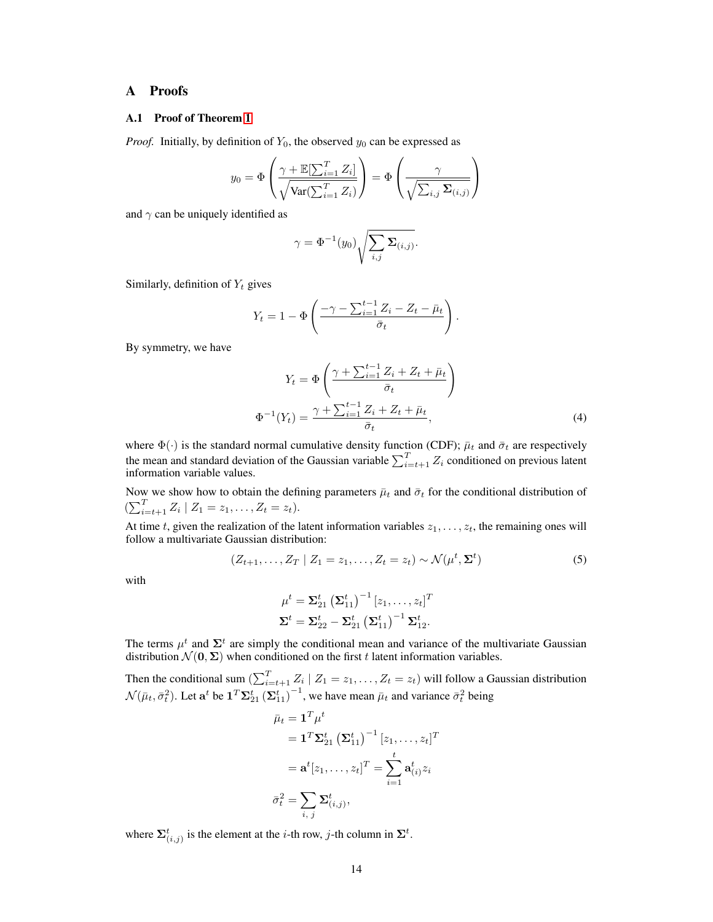# A Proofs

### A.1 Proof of Theorem [1](#page--1-0)

*Proof.* Initially, by definition of  $Y_0$ , the observed  $y_0$  can be expressed as

$$
y_0 = \Phi\left(\frac{\gamma + \mathbb{E}[\sum_{i=1}^T Z_i]}{\sqrt{\text{Var}(\sum_{i=1}^T Z_i)}}\right) = \Phi\left(\frac{\gamma}{\sqrt{\sum_{i,j} \Sigma_{(i,j)}}}\right)
$$

and  $\gamma$  can be uniquely identified as

$$
\gamma = \Phi^{-1}(y_0) \sqrt{\sum_{i,j} \Sigma_{(i,j)}}.
$$

Similarly, definition of  $Y_t$  gives

$$
Y_t = 1 - \Phi\left(\frac{-\gamma - \sum_{i=1}^{t-1} Z_i - Z_t - \bar{\mu}_t}{\bar{\sigma}_t}\right).
$$

By symmetry, we have

<span id="page-0-0"></span>
$$
Y_t = \Phi\left(\frac{\gamma + \sum_{i=1}^{t-1} Z_i + Z_t + \bar{\mu}_t}{\bar{\sigma}_t}\right)
$$

$$
\Phi^{-1}(Y_t) = \frac{\gamma + \sum_{i=1}^{t-1} Z_i + Z_t + \bar{\mu}_t}{\bar{\sigma}_t},
$$
(4)

where  $\Phi(\cdot)$  is the standard normal cumulative density function (CDF);  $\bar{\mu}_t$  and  $\bar{\sigma}_t$  are respectively the mean and standard deviation of the Gaussian variable  $\sum_{i=t+1}^{T} Z_i$  conditioned on previous latent information variable values.

Now we show how to obtain the defining parameters  $\bar{\mu}_t$  and  $\bar{\sigma}_t$  for the conditional distribution of  $(\sum_{i=t+1}^{T} Z_i | Z_1 = z_1, \ldots, Z_t = z_t).$ 

At time t, given the realization of the latent information variables  $z_1, \ldots, z_t$ , the remaining ones will follow a multivariate Gaussian distribution:

$$
(Z_{t+1},\ldots,Z_T \mid Z_1=z_1,\ldots,Z_t=z_t) \sim \mathcal{N}(\mu^t,\Sigma^t)
$$
\n
$$
(5)
$$

with

<span id="page-0-1"></span>
$$
\mu^{t} = \Sigma_{21}^{t} (\Sigma_{11}^{t})^{-1} [z_{1}, \ldots, z_{t}]^{T}
$$
  

$$
\Sigma^{t} = \Sigma_{22}^{t} - \Sigma_{21}^{t} (\Sigma_{11}^{t})^{-1} \Sigma_{12}^{t}.
$$

The terms  $\mu^t$  and  $\Sigma^t$  are simply the conditional mean and variance of the multivariate Gaussian distribution  $\mathcal{N}(\mathbf{0}, \Sigma)$  when conditioned on the first t latent information variables.

Then the conditional sum  $\left(\sum_{i=t+1}^{T} Z_i \mid Z_1 = z_1, \ldots, Z_t = z_t\right)$  will follow a Gaussian distribution  $\mathcal{N}(\bar{\mu}_t, \bar{\sigma}_t^2)$ . Let  $\mathbf{a}^t$  be  $\mathbf{1}^T \mathbf{\Sigma}_{21}^t (\mathbf{\Sigma}_{11}^t)^{-1}$ , we have mean  $\bar{\mu}_t$  and variance  $\bar{\sigma}_t^2$  being

$$
\bar{\mu}_t = \mathbf{1}^T \mu^t
$$
\n
$$
= \mathbf{1}^T \mathbf{\Sigma}_{21}^t \left(\mathbf{\Sigma}_{11}^t\right)^{-1} [z_1, \dots, z_t]^T
$$
\n
$$
= \mathbf{a}^t [z_1, \dots, z_t]^T = \sum_{i=1}^t \mathbf{a}_{(i)}^t z_i
$$
\n
$$
\bar{\sigma}_t^2 = \sum_{i,j} \mathbf{\Sigma}_{(i,j)}^t,
$$

where  $\sum_{(i,j)}^t$  is the element at the *i*-th row, *j*-th column in  $\Sigma^t$ .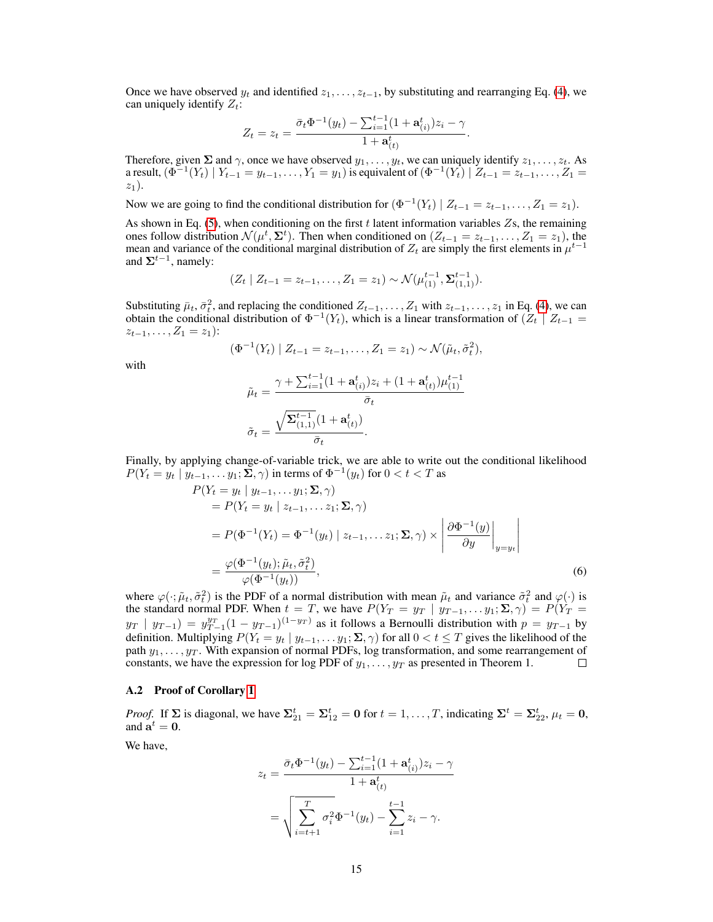Once we have observed  $y_t$  and identified  $z_1, \ldots, z_{t-1}$ , by substituting and rearranging Eq. [\(4\)](#page-0-0), we can uniquely identify  $Z_t$ :

$$
Z_t = z_t = \frac{\bar{\sigma}_t \Phi^{-1}(y_t) - \sum_{i=1}^{t-1} (1 + \mathbf{a}_{(i)}^t) z_i - \gamma}{1 + \mathbf{a}_{(t)}^t}.
$$

Therefore, given  $\Sigma$  and  $\gamma$ , once we have observed  $y_1, \ldots, y_t$ , we can uniquely identify  $z_1, \ldots, z_t$ . As a result,  $(\Phi^{-1}(Y_t) | Y_{t-1} = y_{t-1}, \ldots, Y_1 = y_1)$  is equivalent of  $(\Phi^{-1}(Y_t) | Z_{t-1} = z_{t-1}, \ldots, Z_1 = z_1)$  $z_1$ ).

Now we are going to find the conditional distribution for  $(\Phi^{-1}(Y_t) | Z_{t-1} = z_{t-1}, \ldots, Z_1 = z_1)$ .

As shown in Eq.  $(5)$ , when conditioning on the first t latent information variables  $Z_s$ , the remaining ones follow distribution  $\mathcal{N}(\mu^t, \Sigma^t)$ . Then when conditioned on  $(Z_{t-1} = z_{t-1}, \dots, Z_1 = z_1)$ , the mean and variance of the conditional marginal distribution of  $Z_t$  are simply the first elements in  $\mu^{t-1}$ and  $\Sigma^{t-1}$ , namely:

$$
(Z_t | Z_{t-1} = z_{t-1}, \ldots, Z_1 = z_1) \sim \mathcal{N}(\mu_{(1)}^{t-1}, \Sigma_{(1,1)}^{t-1}).
$$

Substituting  $\bar{\mu}_t$ ,  $\bar{\sigma}_t^2$ , and replacing the conditioned  $Z_{t-1}, \ldots, Z_1$  with  $z_{t-1}, \ldots, z_1$  in Eq. [\(4\)](#page-0-0), we can obtain the conditional distribution of  $\Phi^{-1}(Y_t)$ , which is a linear transformation of  $(Z_t \mid Z_{t-1})$  $z_{t-1}, \ldots, Z_1 = z_1$ :

$$
(\Phi^{-1}(Y_t) | Z_{t-1} = z_{t-1}, \dots, Z_1 = z_1) \sim \mathcal{N}(\tilde{\mu}_t, \tilde{\sigma}_t^2),
$$

with

$$
\tilde{\mu}_t = \frac{\gamma + \sum_{i=1}^{t-1} (1 + \mathbf{a}_{(i)}^t) z_i + (1 + \mathbf{a}_{(t)}^t) \mu_{(1)}^{t-1}}{\bar{\sigma}_t}
$$
\n
$$
\tilde{\sigma}_t = \frac{\sqrt{\sum_{(1,1)}^{t-1} (1 + \mathbf{a}_{(t)}^t)}}{\bar{\sigma}_t}.
$$

Finally, by applying change-of-variable trick, we are able to write out the conditional likelihood  $P(Y_t = y_t \mid y_{t-1}, \dots y_1; \Sigma, \gamma)$  in terms of  $\Phi^{-1}(y_t)$  for  $0 < t < T$  as

$$
P(Y_t = y_t | y_{t-1}, \dots y_1; \Sigma, \gamma)
$$
  
=  $P(Y_t = y_t | z_{t-1}, \dots z_1; \Sigma, \gamma)$   
=  $P(\Phi^{-1}(Y_t) = \Phi^{-1}(y_t) | z_{t-1}, \dots z_1; \Sigma, \gamma) \times \left| \frac{\partial \Phi^{-1}(y)}{\partial y} \right|_{y=y_t}$   
=  $\frac{\varphi(\Phi^{-1}(y_t); \tilde{\mu}_t, \tilde{\sigma}_t^2)}{\varphi(\Phi^{-1}(y_t))},$  (6)

where  $\varphi(\cdot;\tilde{\mu}_t,\tilde{\sigma}_t^2)$  is the PDF of a normal distribution with mean  $\tilde{\mu}_t$  and variance  $\tilde{\sigma}_t^2$  and  $\varphi(\cdot)$  is the standard normal PDF. When  $t = T$ , we have  $P(Y_T = y_T | y_{T-1}, \ldots, y_1; \Sigma, \gamma) = P(Y_T = y_T | y_{T-1}, \ldots, y_n)$  $y_T$  |  $y_{T-1}$ ) =  $y_{T-1}^{y_T} (1 - y_{T-1})^{(1 - y_T)}$  as it follows a Bernoulli distribution with  $p = y_{T-1}$  by definition. Multiplying  $P(Y_t = y_t | y_{t-1}, \ldots, y_1; \Sigma, \gamma)$  for all  $0 < t \leq T$  gives the likelihood of the path  $y_1, \ldots, y_T$ . With expansion of normal PDFs, log transformation, and some rearrangement of constants, we have the expression for log PDF of  $y_1, \ldots, y_T$  as presented in Theorem 1. П

#### A.2 Proof of Corollary [1](#page--1-1)

*Proof.* If  $\Sigma$  is diagonal, we have  $\Sigma_{21}^t = \Sigma_{12}^t = 0$  for  $t = 1, ..., T$ , indicating  $\Sigma^t = \Sigma_{22}^t$ ,  $\mu_t = 0$ , and  $\mathbf{a}^t = \mathbf{0}$ .

We have,

$$
z_t = \frac{\bar{\sigma}_t \Phi^{-1}(y_t) - \sum_{i=1}^{t-1} (1 + \mathbf{a}_{(i)}^t) z_i - \gamma}{1 + \mathbf{a}_{(t)}^t}
$$

$$
= \sqrt{\sum_{i=t+1}^T \sigma_i^2 \Phi^{-1}(y_t) - \sum_{i=1}^{t-1} z_i - \gamma}.
$$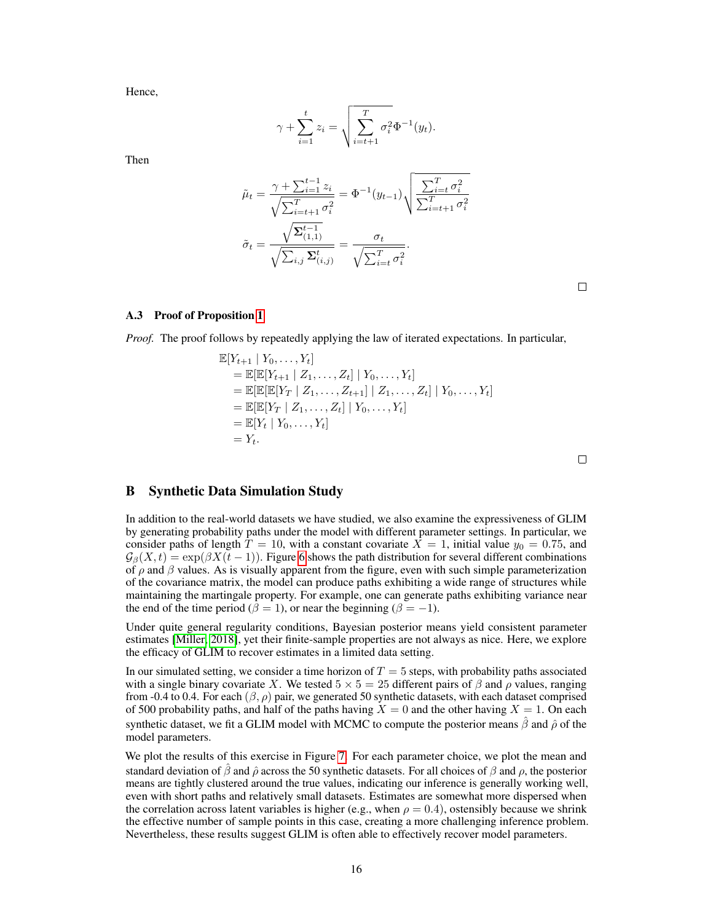Hence,

$$
\gamma + \sum_{i=1}^{t} z_i = \sqrt{\sum_{i=t+1}^{T} \sigma_i^2} \Phi^{-1}(y_t).
$$

Then

$$
\tilde{\mu}_{t} = \frac{\gamma + \sum_{i=1}^{t-1} z_{i}}{\sqrt{\sum_{i=t+1}^{T} \sigma_{i}^{2}}} = \Phi^{-1}(y_{t-1}) \sqrt{\frac{\sum_{i=t}^{T} \sigma_{i}^{2}}{\sum_{i=t+1}^{T} \sigma_{i}^{2}}}
$$
\n
$$
\tilde{\sigma}_{t} = \frac{\sqrt{\Sigma_{(1,1)}^{t-1}}}{\sqrt{\sum_{i,j} \Sigma_{(i,j)}^{t}}} = \frac{\sigma_{t}}{\sqrt{\sum_{i=t}^{T} \sigma_{i}^{2}}}.
$$

 $\Box$ 

### A.3 Proof of Proposition [1](#page--1-2)

*Proof.* The proof follows by repeatedly applying the law of iterated expectations. In particular,

$$
\mathbb{E}[Y_{t+1} | Y_0, \dots, Y_t] \n= \mathbb{E}[\mathbb{E}[Y_{t+1} | Z_1, \dots, Z_t] | Y_0, \dots, Y_t] \n= \mathbb{E}[\mathbb{E}[\mathbb{E}[Y_T | Z_1, \dots, Z_{t+1}] | Z_1, \dots, Z_t] | Y_0, \dots, Y_t] \n= \mathbb{E}[\mathbb{E}[Y_T | Z_1, \dots, Z_t] | Y_0, \dots, Y_t] \n= \mathbb{E}[Y_t | Y_0, \dots, Y_t] \n= Y_t.
$$

 $\Box$ 

## B Synthetic Data Simulation Study

In addition to the real-world datasets we have studied, we also examine the expressiveness of GLIM by generating probability paths under the model with different parameter settings. In particular, we consider paths of length  $\overline{T} = 10$ , with a constant covariate  $\overline{X} = 1$ , initial value  $y_0 = 0.75$ , and  $G_{\beta}(X, t) = \exp(\beta X(t-1))$ . Figure [6](#page-3-0) shows the path distribution for several different combinations of  $\rho$  and  $\beta$  values. As is visually apparent from the figure, even with such simple parameterization of the covariance matrix, the model can produce paths exhibiting a wide range of structures while maintaining the martingale property. For example, one can generate paths exhibiting variance near the end of the time period ( $\beta = 1$ ), or near the beginning ( $\beta = -1$ ).

Under quite general regularity conditions, Bayesian posterior means yield consistent parameter estimates [\[Miller, 2018\]](#page--1-3), yet their finite-sample properties are not always as nice. Here, we explore the efficacy of GLIM to recover estimates in a limited data setting.

In our simulated setting, we consider a time horizon of  $T = 5$  steps, with probability paths associated with a single binary covariate X. We tested  $5 \times 5 = 25$  different pairs of  $\beta$  and  $\rho$  values, ranging from -0.4 to 0.4. For each  $(\beta, \rho)$  pair, we generated 50 synthetic datasets, with each dataset comprised of 500 probability paths, and half of the paths having  $X = 0$  and the other having  $X = 1$ . On each synthetic dataset, we fit a GLIM model with MCMC to compute the posterior means  $\hat{\beta}$  and  $\hat{\rho}$  of the model parameters.

We plot the results of this exercise in Figure [7.](#page-3-0) For each parameter choice, we plot the mean and standard deviation of  $\hat{\beta}$  and  $\hat{\rho}$  across the 50 synthetic datasets. For all choices of  $\beta$  and  $\rho$ , the posterior means are tightly clustered around the true values, indicating our inference is generally working well, even with short paths and relatively small datasets. Estimates are somewhat more dispersed when the correlation across latent variables is higher (e.g., when  $\rho = 0.4$ ), ostensibly because we shrink the effective number of sample points in this case, creating a more challenging inference problem. Nevertheless, these results suggest GLIM is often able to effectively recover model parameters.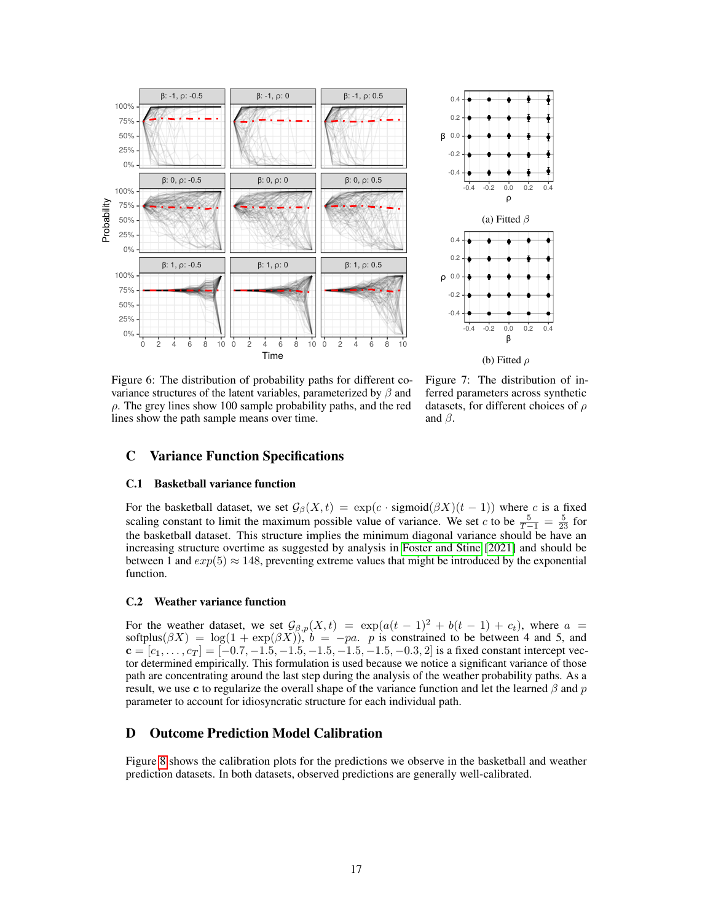<span id="page-3-0"></span>



Figure 6: The distribution of probability paths for different covariance structures of the latent variables, parameterized by  $\beta$  and  $\rho$ . The grey lines show 100 sample probability paths, and the red lines show the path sample means over time.

Figure 7: The distribution of inferred parameters across synthetic datasets, for different choices of  $\rho$ and  $\beta$ .

## C Variance Function Specifications

### C.1 Basketball variance function

For the basketball dataset, we set  $\mathcal{G}_{\beta}(X,t) = \exp(c \cdot sigmoid(\beta X)(t-1))$  where c is a fixed scaling constant to limit the maximum possible value of variance. We set c to be  $\frac{5}{T-1} = \frac{5}{23}$  for the basketball dataset. This structure implies the minimum diagonal variance should be have an increasing structure overtime as suggested by analysis in [Foster and Stine](#page--1-4) [\[2021\]](#page--1-4) and should be between 1 and  $exp(5) \approx 148$ , preventing extreme values that might be introduced by the exponential function.

### C.2 Weather variance function

For the weather dataset, we set  $\mathcal{G}_{\beta,p}(X,t) = \exp(a(t-1)^2 + b(t-1) + c_t)$ , where  $a =$ softplus( $\beta X$ ) = log(1 + exp( $\beta X$ )),  $b = -pa$ . p is constrained to be between 4 and 5, and  $c = [c_1, \ldots, c_T] = [-0.7, -1.5, -1.5, -1.5, -1.5, -1.5, -0.3, 2]$  is a fixed constant intercept vector determined empirically. This formulation is used because we notice a significant variance of those path are concentrating around the last step during the analysis of the weather probability paths. As a result, we use c to regularize the overall shape of the variance function and let the learned  $\beta$  and  $p$ parameter to account for idiosyncratic structure for each individual path.

### D Outcome Prediction Model Calibration

Figure [8](#page-4-0) shows the calibration plots for the predictions we observe in the basketball and weather prediction datasets. In both datasets, observed predictions are generally well-calibrated.